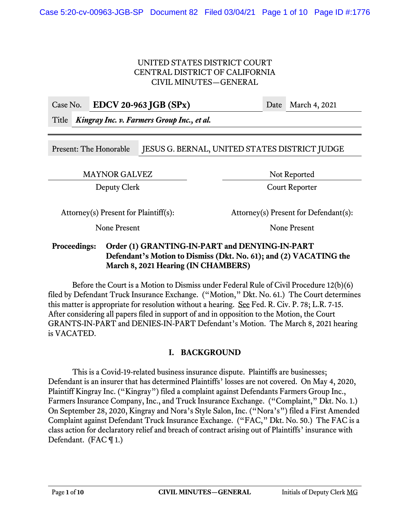#### UNITED STATES DISTRICT COURT CENTRAL DISTRICT OF CALIFORNIA CIVIL MINUTES—GENERAL

|                                                  | Case No. EDCV 20-963 JGB $(SPx)$ | Date March 4, 2021 |
|--------------------------------------------------|----------------------------------|--------------------|
| Title Kingray Inc. v. Farmers Group Inc., et al. |                                  |                    |
|                                                  |                                  |                    |
|                                                  |                                  |                    |

Present: The Honorable JESUS G. BERNAL, UNITED STATES DISTRICT JUDGE

MAYNOR GALVEZ Not Reported

Deputy Clerk Court Reporter

Attorney(s) Present for Plaintiff(s): Attorney(s) Present for Defendant(s):

None Present None Present

## **Proceedings: Order (1) GRANTING-IN-PART and DENYING-IN-PART Defendant's Motion to Dismiss (Dkt. No. 61); and (2) VACATING the March 8, 2021 Hearing (IN CHAMBERS)**

 Before the Court is a Motion to Dismiss under Federal Rule of Civil Procedure 12(b)(6) filed by Defendant Truck Insurance Exchange. ("Motion," Dkt. No. 61.) The Court determines this matter is appropriate for resolution without a hearing. See Fed. R. Civ. P. 78; L.R. 7-15. After considering all papers filed in support of and in opposition to the Motion, the Court GRANTS-IN-PART and DENIES-IN-PART Defendant's Motion. The March 8, 2021 hearing is VACATED.

# **I. BACKGROUND**

This is a Covid-19-related business insurance dispute. Plaintiffs are businesses; Defendant is an insurer that has determined Plaintiffs' losses are not covered. On May 4, 2020, Plaintiff Kingray Inc. ("Kingray") filed a complaint against Defendants Farmers Group Inc., Farmers Insurance Company, Inc., and Truck Insurance Exchange. ("Complaint," Dkt. No. 1.) On September 28, 2020, Kingray and Nora's Style Salon, Inc. ("Nora's") filed a First Amended Complaint against Defendant Truck Insurance Exchange. ("FAC," Dkt. No. 50.) The FAC is a class action for declaratory relief and breach of contract arising out of Plaintiffs' insurance with Defendant. (FAC  $\P$  1.)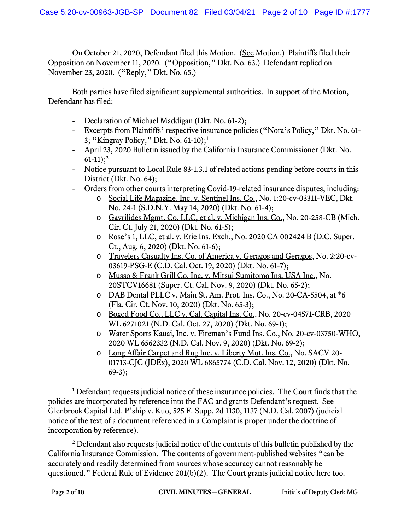On October 21, 2020, Defendant filed this Motion. (See Motion.) Plaintiffs filed their Opposition on November 11, 2020. ("Opposition," Dkt. No. 63.) Defendant replied on November 23, 2020. ("Reply," Dkt. No. 65.)

Both parties have filed significant supplemental authorities. In support of the Motion, Defendant has filed:

- Declaration of Michael Maddigan (Dkt. No. 61-2);
- Excerpts from Plaintiffs' respective insurance policies ("Nora's Policy," Dkt. No. 61- 3; "Kingray Policy," Dkt. No. 61-10);<sup>1</sup>
- April 23, 2020 Bulletin issued by the California Insurance Commissioner (Dkt. No.  $61-11$ ;<sup>2</sup>
- Notice pursuant to Local Rule 83-1.3.1 of related actions pending before courts in this District (Dkt. No. 64);
- Orders from other courts interpreting Covid-19-related insurance disputes, including:
	- o Social Life Magazine, Inc. v. Sentinel Ins. Co., No. 1:20-cv-03311-VEC, Dkt. No. 24-1 (S.D.N.Y. May 14, 2020) (Dkt. No. 61-4);
	- o Gavrilides Mgmt. Co. LLC, et al. v. Michigan Ins. Co., No. 20-258-CB (Mich. Cir. Ct. July 21, 2020) (Dkt. No. 61-5);
	- o Rose's 1, LLC, et al. v. Erie Ins. Exch., No. 2020 CA 002424 B (D.C. Super. Ct., Aug. 6, 2020) (Dkt. No. 61-6);
	- o Travelers Casualty Ins. Co. of America v. Geragos and Geragos, No. 2:20-cv-03619-PSG-E (C.D. Cal. Oct. 19, 2020) (Dkt. No. 61-7);
	- o Musso & Frank Grill Co. Inc. v. Mitsui Sumitomo Ins. USA Inc., No. 20STCV16681 (Super. Ct. Cal. Nov. 9, 2020) (Dkt. No. 65-2);
	- o DAB Dental PLLC v. Main St. Am. Prot. Ins. Co., No. 20-CA-5504, at \*6 (Fla. Cir. Ct. Nov. 10, 2020) (Dkt. No. 65-3);
	- o Boxed Food Co., LLC v. Cal. Capital Ins. Co., No. 20-cv-04571-CRB, 2020 WL 6271021 (N.D. Cal. Oct. 27, 2020) (Dkt. No. 69-1);
	- o Water Sports Kauai, Inc. v. Fireman's Fund Ins. Co., No. 20-cv-03750-WHO, 2020 WL 6562332 (N.D. Cal. Nov. 9, 2020) (Dkt. No. 69-2);
	- o Long Affair Carpet and Rug Inc. v. Liberty Mut. Ins. Co., No. SACV 20- 01713-CJC (JDEx), 2020 WL 6865774 (C.D. Cal. Nov. 12, 2020) (Dkt. No.  $69-3$ ;

2 Defendant also requests judicial notice of the contents of this bulletin published by the California Insurance Commission. The contents of government-published websites "can be accurately and readily determined from sources whose accuracy cannot reasonably be questioned." Federal Rule of Evidence 201(b)(2). The Court grants judicial notice here too.

<sup>&</sup>lt;sup>1</sup> Defendant requests judicial notice of these insurance policies. The Court finds that the policies are incorporated by reference into the FAC and grants Defendant's request. See Glenbrook Capital Ltd. P'ship v. Kuo, 525 F. Supp. 2d 1130, 1137 (N.D. Cal. 2007) (judicial notice of the text of a document referenced in a Complaint is proper under the doctrine of incorporation by reference).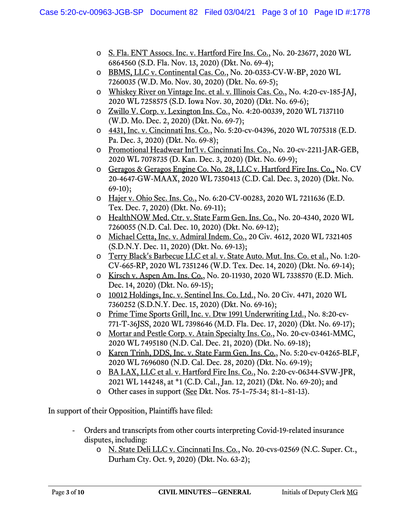- o S. Fla. ENT Assocs. Inc. v. Hartford Fire Ins. Co., No. 20-23677, 2020 WL 6864560 (S.D. Fla. Nov. 13, 2020) (Dkt. No. 69-4);
- o BBMS, LLC v. Continental Cas. Co., No. 20-0353-CV-W-BP, 2020 WL 7260035 (W.D. Mo. Nov. 30, 2020) (Dkt. No. 69-5);
- o Whiskey River on Vintage Inc. et al. v. Illinois Cas. Co., No. 4:20-cv-185-JAJ, 2020 WL 7258575 (S.D. Iowa Nov. 30, 2020) (Dkt. No. 69-6);
- o Zwillo V. Corp. v. Lexington Ins. Co., No. 4:20-00339, 2020 WL 7137110 (W.D. Mo. Dec. 2, 2020) (Dkt. No. 69-7);
- o 4431, Inc. v. Cincinnati Ins. Co., No. 5:20-cv-04396, 2020 WL 7075318 (E.D. Pa. Dec. 3, 2020) (Dkt. No. 69-8);
- o Promotional Headwear Int'l v. Cincinnati Ins. Co., No. 20-cv-2211-JAR-GEB, 2020 WL 7078735 (D. Kan. Dec. 3, 2020) (Dkt. No. 69-9);
- o Geragos & Geragos Engine Co. No. 28, LLC v. Hartford Fire Ins. Co., No. CV 20-4647-GW-MAAX, 2020 WL 7350413 (C.D. Cal. Dec. 3, 2020) (Dkt. No.  $69-10$ :
- o Hajer v. Ohio Sec. Ins. Co., No. 6:20-CV-00283, 2020 WL 7211636 (E.D. Tex. Dec. 7, 2020) (Dkt. No. 69-11);
- o HealthNOW Med. Ctr. v. State Farm Gen. Ins. Co., No. 20-4340, 2020 WL 7260055 (N.D. Cal. Dec. 10, 2020) (Dkt. No. 69-12);
- o Michael Cetta, Inc. v. Admiral Indem. Co., 20 Civ. 4612, 2020 WL 7321405 (S.D.N.Y. Dec. 11, 2020) (Dkt. No. 69-13);
- o Terry Black's Barbecue LLC et al. v. State Auto. Mut. Ins. Co. et al., No. 1:20- CV-665-RP, 2020 WL 7351246 (W.D. Tex. Dec. 14, 2020) (Dkt. No. 69-14);
- o Kirsch v. Aspen Am. Ins. Co., No. 20-11930, 2020 WL 7338570 (E.D. Mich. Dec. 14, 2020) (Dkt. No. 69-15);
- o 10012 Holdings, Inc. v. Sentinel Ins. Co. Ltd., No. 20 Civ. 4471, 2020 WL 7360252 (S.D.N.Y. Dec. 15, 2020) (Dkt. No. 69-16);
- o Prime Time Sports Grill, Inc. v. Dtw 1991 Underwriting Ltd., No. 8:20-cv-771-T-36JSS, 2020 WL 7398646 (M.D. Fla. Dec. 17, 2020) (Dkt. No. 69-17);
- o Mortar and Pestle Corp. v. Atain Specialty Ins. Co., No. 20-cv-03461-MMC, 2020 WL 7495180 (N.D. Cal. Dec. 21, 2020) (Dkt. No. 69-18);
- o Karen Trinh, DDS, Inc. v. State Farm Gen. Ins. Co., No. 5:20-cv-04265-BLF, 2020 WL 7696080 (N.D. Cal. Dec. 28, 2020) (Dkt. No. 69-19);
- o BA LAX, LLC et al. v. Hartford Fire Ins. Co., No. 2:20-cv-06344-SVW-JPR, 2021 WL 144248, at \*1 (C.D. Cal., Jan. 12, 2021) (Dkt. No. 69-20); and
- o Other cases in support (See Dkt. Nos. 75-1–75-34; 81-1–81-13).

In support of their Opposition, Plaintiffs have filed:

- Orders and transcripts from other courts interpreting Covid-19-related insurance disputes, including:
	- o N. State Deli LLC v. Cincinnati Ins. Co., No. 20-cvs-02569 (N.C. Super. Ct., Durham Cty. Oct. 9, 2020) (Dkt. No. 63-2);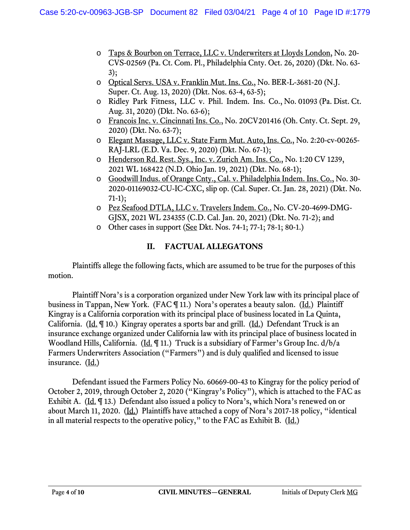- o Taps & Bourbon on Terrace, LLC v. Underwriters at Lloyds London, No. 20- CVS-02569 (Pa. Ct. Com. Pl., Philadelphia Cnty. Oct. 26, 2020) (Dkt. No. 63- 3);
- o Optical Servs. USA v. Franklin Mut. Ins. Co., No. BER-L-3681-20 (N.J. Super. Ct. Aug. 13, 2020) (Dkt. Nos. 63-4, 63-5);
- o Ridley Park Fitness, LLC v. Phil. Indem. Ins. Co., No. 01093 (Pa. Dist. Ct. Aug. 31, 2020) (Dkt. No. 63-6);
- o Francois Inc. v. Cincinnati Ins. Co., No. 20CV201416 (Oh. Cnty. Ct. Sept. 29, 2020) (Dkt. No. 63-7);
- o Elegant Massage, LLC v. State Farm Mut. Auto, Ins. Co., No. 2:20-cv-00265- RAJ-LRL (E.D. Va. Dec. 9, 2020) (Dkt. No. 67-1);
- o Henderson Rd. Rest. Sys., Inc. v. Zurich Am. Ins. Co., No. 1:20 CV 1239, 2021 WL 168422 (N.D. Ohio Jan. 19, 2021) (Dkt. No. 68-1);
- o Goodwill Indus. of Orange Cnty., Cal. v. Philadelphia Indem. Ins. Co., No. 30- 2020-01169032-CU-IC-CXC, slip op. (Cal. Super. Ct. Jan. 28, 2021) (Dkt. No. 71-1);
- o Pez Seafood DTLA, LLC v. Travelers Indem. Co., No. CV-20-4699-DMG-GJSX, 2021 WL 234355 (C.D. Cal. Jan. 20, 2021) (Dkt. No. 71-2); and
- o Other cases in support (See Dkt. Nos. 74-1; 77-1; 78-1; 80-1.)

# **II. FACTUAL ALLEGATONS**

Plaintiffs allege the following facts, which are assumed to be true for the purposes of this motion.

 Plaintiff Nora's is a corporation organized under New York law with its principal place of business in Tappan, New York. (FAC ¶ 11.) Nora's operates a beauty salon. (Id.) Plaintiff Kingray is a California corporation with its principal place of business located in La Quinta, California. (Id.  $\P$  10.) Kingray operates a sports bar and grill. (Id.) Defendant Truck is an insurance exchange organized under California law with its principal place of business located in Woodland Hills, California. (Id. ¶ 11.) Truck is a subsidiary of Farmer's Group Inc. d/b/a Farmers Underwriters Association ("Farmers") and is duly qualified and licensed to issue insurance. (Id.)

 Defendant issued the Farmers Policy No. 60669-00-43 to Kingray for the policy period of October 2, 2019, through October 2, 2020 ("Kingray's Policy"), which is attached to the FAC as Exhibit A. (Id. ¶ 13.) Defendant also issued a policy to Nora's, which Nora's renewed on or about March 11, 2020. (Id.) Plaintiffs have attached a copy of Nora's 2017-18 policy, "identical in all material respects to the operative policy," to the FAC as Exhibit B.  $(\underline{Id.})$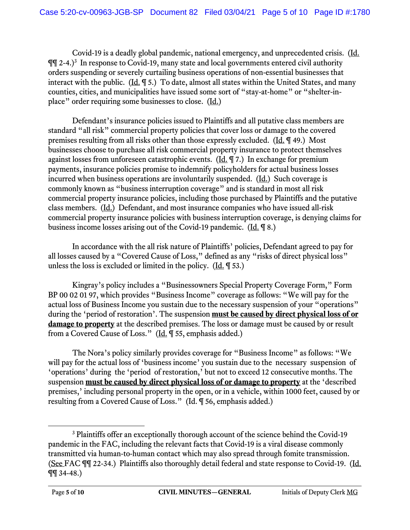Covid-19 is a deadly global pandemic, national emergency, and unprecedented crisis. (Id.  $\P\P$  2-4.)<sup>3</sup> In response to Covid-19, many state and local governments entered civil authority orders suspending or severely curtailing business operations of non-essential businesses that interact with the public. (Id. ¶ 5.) To date, almost all states within the United States, and many counties, cities, and municipalities have issued some sort of "stay-at-home" or "shelter-inplace" order requiring some businesses to close. (Id.)

 Defendant's insurance policies issued to Plaintiffs and all putative class members are standard "all risk" commercial property policies that cover loss or damage to the covered premises resulting from all risks other than those expressly excluded. (Id. ¶ 49.) Most businesses choose to purchase all risk commercial property insurance to protect themselves against losses from unforeseen catastrophic events.  $(\underline{Id} \cdot \P \cap \mathcal{T})$  In exchange for premium payments, insurance policies promise to indemnify policyholders for actual business losses incurred when business operations are involuntarily suspended. (Id.) Such coverage is commonly known as "business interruption coverage" and is standard in most all risk commercial property insurance policies, including those purchased by Plaintiffs and the putative class members. (Id.) Defendant, and most insurance companies who have issued all-risk commercial property insurance policies with business interruption coverage, is denying claims for business income losses arising out of the Covid-19 pandemic. (Id. ¶ 8.)

 In accordance with the all risk nature of Plaintiffs' policies, Defendant agreed to pay for all losses caused by a "Covered Cause of Loss," defined as any "risks of direct physical loss" unless the loss is excluded or limited in the policy. (Id. ¶ 53.)

 Kingray's policy includes a "Businessowners Special Property Coverage Form," Form BP 00 02 01 97, which provides "Business Income" coverage as follows: "We will pay for the actual loss of Business Income you sustain due to the necessary suspension of your "operations" during the 'period of restoration'. The suspension **must be caused by direct physical loss of or damage to property** at the described premises. The loss or damage must be caused by or result from a Covered Cause of Loss." (Id. ¶ 55, emphasis added.)

The Nora's policy similarly provides coverage for "Business Income" as follows: "We will pay for the actual loss of 'business income' you sustain due to the necessary suspension of 'operations' during the 'period of restoration,' but not to exceed 12 consecutive months. The suspension **must be caused by direct physical loss of or damage to property** at the 'described premises,' including personal property in the open, or in a vehicle, within 1000 feet, caused by or resulting from a Covered Cause of Loss." (Id. ¶ 56, emphasis added.)

<sup>&</sup>lt;sup>3</sup> Plaintiffs offer an exceptionally thorough account of the science behind the Covid-19 pandemic in the FAC, including the relevant facts that Covid-19 is a viral disease commonly transmitted via human-to-human contact which may also spread through fomite transmission. (See FAC ¶¶ 22-34.) Plaintiffs also thoroughly detail federal and state response to Covid-19. (Id. ¶¶ 34-48.)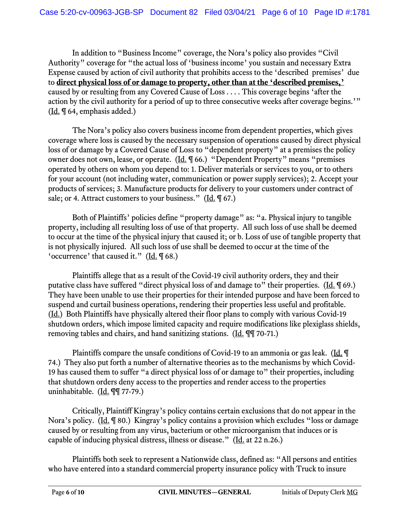In addition to "Business Income" coverage, the Nora's policy also provides "Civil Authority" coverage for "the actual loss of 'business income' you sustain and necessary Extra Expense caused by action of civil authority that prohibits access to the 'described premises' due to **direct physical loss of or damage to property, other than at the 'described premises,'** caused by or resulting from any Covered Cause of Loss . . . . This coverage begins 'after the action by the civil authority for a period of up to three consecutive weeks after coverage begins.'" (Id. ¶ 64, emphasis added.)

 The Nora's policy also covers business income from dependent properties, which gives coverage where loss is caused by the necessary suspension of operations caused by direct physical loss of or damage by a Covered Cause of Loss to "dependent property" at a premises the policy owner does not own, lease, or operate. (Id. ¶ 66.) "Dependent Property" means "premises operated by others on whom you depend to: 1. Deliver materials or services to you, or to others for your account (not including water, communication or power supply services); 2. Accept your products of services; 3. Manufacture products for delivery to your customers under contract of sale; or 4. Attract customers to your business." ( $\underline{Id}$ ,  $\P$  67.)

Both of Plaintiffs' policies define "property damage" as: "a. Physical injury to tangible property, including all resulting loss of use of that property. All such loss of use shall be deemed to occur at the time of the physical injury that caused it; or b. Loss of use of tangible property that is not physically injured. All such loss of use shall be deemed to occur at the time of the 'occurrence' that caused it." (Id. ¶ 68.)

 Plaintiffs allege that as a result of the Covid-19 civil authority orders, they and their putative class have suffered "direct physical loss of and damage to" their properties. (Id. ¶ 69.) They have been unable to use their properties for their intended purpose and have been forced to suspend and curtail business operations, rendering their properties less useful and profitable. (Id.) Both Plaintiffs have physically altered their floor plans to comply with various Covid-19 shutdown orders, which impose limited capacity and require modifications like plexiglass shields, removing tables and chairs, and hand sanitizing stations. (Id. ¶¶ 70-71.)

Plaintiffs compare the unsafe conditions of Covid-19 to an ammonia or gas leak. (Id. ¶ 74.) They also put forth a number of alternative theories as to the mechanisms by which Covid-19 has caused them to suffer "a direct physical loss of or damage to" their properties, including that shutdown orders deny access to the properties and render access to the properties uninhabitable. (Id. ¶¶ 77-79.)

 Critically, Plaintiff Kingray's policy contains certain exclusions that do not appear in the Nora's policy. (Id. ¶ 80.) Kingray's policy contains a provision which excludes "loss or damage caused by or resulting from any virus, bacterium or other microorganism that induces or is capable of inducing physical distress, illness or disease." (Id. at 22 n.26.)

 Plaintiffs both seek to represent a Nationwide class, defined as: "All persons and entities who have entered into a standard commercial property insurance policy with Truck to insure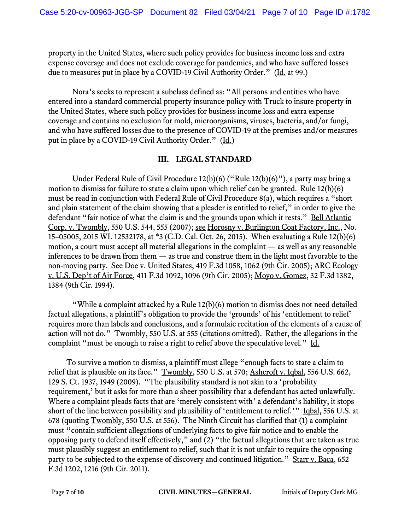property in the United States, where such policy provides for business income loss and extra expense coverage and does not exclude coverage for pandemics, and who have suffered losses due to measures put in place by a COVID-19 Civil Authority Order." (Id. at 99.)

 Nora's seeks to represent a subclass defined as: "All persons and entities who have entered into a standard commercial property insurance policy with Truck to insure property in the United States, where such policy provides for business income loss and extra expense coverage and contains no exclusion for mold, microorganisms, viruses, bacteria, and/or fungi, and who have suffered losses due to the presence of COVID-19 at the premises and/or measures put in place by a COVID-19 Civil Authority Order." (Id.)

## **III. LEGAL STANDARD**

Under Federal Rule of Civil Procedure 12(b)(6) ("Rule 12(b)(6)"), a party may bring a motion to dismiss for failure to state a claim upon which relief can be granted. Rule 12(b)(6) must be read in conjunction with Federal Rule of Civil Procedure 8(a), which requires a "short and plain statement of the claim showing that a pleader is entitled to relief," in order to give the defendant "fair notice of what the claim is and the grounds upon which it rests." Bell Atlantic Corp. v. Twombly, 550 U.S. 544, 555 (2007); see Horosny v. Burlington Coat Factory, Inc., No. 15–05005, 2015 WL 12532178, at \*3 (C.D. Cal. Oct. 26, 2015). When evaluating a Rule 12(b)(6) motion, a court must accept all material allegations in the complaint — as well as any reasonable inferences to be drawn from them — as true and construe them in the light most favorable to the non-moving party. See Doe v. United States, 419 F.3d 1058, 1062 (9th Cir. 2005); ARC Ecology v. U.S. Dep't of Air Force, 411 F.3d 1092, 1096 (9th Cir. 2005); Moyo v. Gomez, 32 F.3d 1382, 1384 (9th Cir. 1994).

"While a complaint attacked by a Rule 12(b)(6) motion to dismiss does not need detailed factual allegations, a plaintiff's obligation to provide the 'grounds' of his 'entitlement to relief' requires more than labels and conclusions, and a formulaic recitation of the elements of a cause of action will not do." Twombly, 550 U.S. at 555 (citations omitted). Rather, the allegations in the complaint "must be enough to raise a right to relief above the speculative level." Id.

To survive a motion to dismiss, a plaintiff must allege "enough facts to state a claim to relief that is plausible on its face." Twombly, 550 U.S. at 570; Ashcroft v. Iqbal, 556 U.S. 662, 129 S. Ct. 1937, 1949 (2009). "The plausibility standard is not akin to a 'probability requirement,' but it asks for more than a sheer possibility that a defendant has acted unlawfully. Where a complaint pleads facts that are 'merely consistent with' a defendant's liability, it stops short of the line between possibility and plausibility of 'entitlement to relief.'" Igbal, 556 U.S. at 678 (quoting Twombly, 550 U.S. at 556). The Ninth Circuit has clarified that (1) a complaint must "contain sufficient allegations of underlying facts to give fair notice and to enable the opposing party to defend itself effectively," and (2) "the factual allegations that are taken as true must plausibly suggest an entitlement to relief, such that it is not unfair to require the opposing party to be subjected to the expense of discovery and continued litigation." Starr v. Baca, 652 F.3d 1202, 1216 (9th Cir. 2011).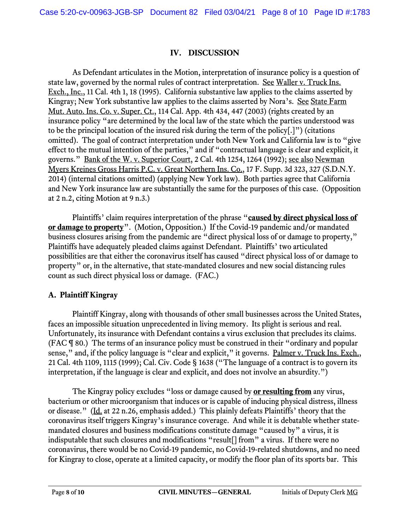#### **IV. DISCUSSION**

 As Defendant articulates in the Motion, interpretation of insurance policy is a question of state law, governed by the normal rules of contract interpretation. See Waller v. Truck Ins. Exch., Inc., 11 Cal. 4th 1, 18 (1995). California substantive law applies to the claims asserted by Kingray; New York substantive law applies to the claims asserted by Nora's. See State Farm Mut. Auto. Ins. Co. v. Super. Ct., 114 Cal. App. 4th 434, 447 (2003) (rights created by an insurance policy "are determined by the local law of the state which the parties understood was to be the principal location of the insured risk during the term of the policy[.]") (citations omitted). The goal of contract interpretation under both New York and California law is to "give effect to the mutual intention of the parties," and if "contractual language is clear and explicit, it governs." Bank of the W. v. Superior Court, 2 Cal. 4th 1254, 1264 (1992); see also Newman Myers Kreines Gross Harris P.C. v. Great Northern Ins. Co., 17 F. Supp. 3d 323, 327 (S.D.N.Y. 2014) (internal citations omitted) (applying New York law). Both parties agree that California and New York insurance law are substantially the same for the purposes of this case. (Opposition at 2 n.2, citing Motion at 9 n.3.)

 Plaintiffs' claim requires interpretation of the phrase "**caused by direct physical loss of or damage to property**". (Motion, Opposition.) If the Covid-19 pandemic and/or mandated business closures arising from the pandemic are "direct physical loss of or damage to property," Plaintiffs have adequately pleaded claims against Defendant. Plaintiffs' two articulated possibilities are that either the coronavirus itself has caused "direct physical loss of or damage to property" or, in the alternative, that state-mandated closures and new social distancing rules count as such direct physical loss or damage. (FAC.)

## **A. Plaintiff Kingray**

 Plaintiff Kingray, along with thousands of other small businesses across the United States, faces an impossible situation unprecedented in living memory. Its plight is serious and real. Unfortunately, its insurance with Defendant contains a virus exclusion that precludes its claims. (FAC ¶ 80.) The terms of an insurance policy must be construed in their "ordinary and popular sense," and, if the policy language is "clear and explicit," it governs. Palmer v. Truck Ins. Exch., 21 Cal. 4th 1109, 1115 (1999); Cal. Civ. Code § 1638 ("The language of a contract is to govern its interpretation, if the language is clear and explicit, and does not involve an absurdity.")

 The Kingray policy excludes "loss or damage caused by **or resulting from** any virus, bacterium or other microorganism that induces or is capable of inducing physical distress, illness or disease." (Id. at 22 n.26, emphasis added.) This plainly defeats Plaintiffs' theory that the coronavirus itself triggers Kingray's insurance coverage. And while it is debatable whether statemandated closures and business modifications constitute damage "caused by" a virus, it is indisputable that such closures and modifications "result[] from" a virus. If there were no coronavirus, there would be no Covid-19 pandemic, no Covid-19-related shutdowns, and no need for Kingray to close, operate at a limited capacity, or modify the floor plan of its sports bar. This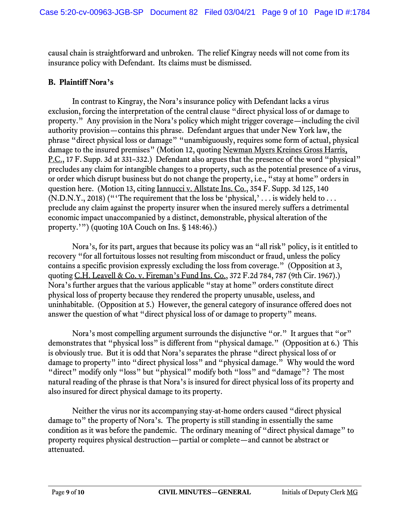causal chain is straightforward and unbroken. The relief Kingray needs will not come from its insurance policy with Defendant. Its claims must be dismissed.

#### **B. Plaintiff Nora's**

 In contrast to Kingray, the Nora's insurance policy with Defendant lacks a virus exclusion, forcing the interpretation of the central clause "direct physical loss of or damage to property." Any provision in the Nora's policy which might trigger coverage—including the civil authority provision—contains this phrase. Defendant argues that under New York law, the phrase "direct physical loss or damage" "unambiguously, requires some form of actual, physical damage to the insured premises" (Motion 12, quoting Newman Myers Kreines Gross Harris, P.C., 17 F. Supp. 3d at 331–332.) Defendant also argues that the presence of the word "physical" precludes any claim for intangible changes to a property, such as the potential presence of a virus, or order which disrupt business but do not change the property, i.e., "stay at home" orders in question here. (Motion 13, citing Iannucci v. Allstate Ins. Co., 354 F. Supp. 3d 125, 140  $(N.D.N.Y., 2018)$  ("The requirement that the loss be 'physical,' ... is widely held to ... preclude any claim against the property insurer when the insured merely suffers a detrimental economic impact unaccompanied by a distinct, demonstrable, physical alteration of the property.'") (quoting 10A Couch on Ins. § 148:46).)

 Nora's, for its part, argues that because its policy was an "all risk" policy, is it entitled to recovery "for all fortuitous losses not resulting from misconduct or fraud, unless the policy contains a specific provision expressly excluding the loss from coverage." (Opposition at 3, quoting C.H. Leavell & Co. v. Fireman's Fund Ins. Co., 372 F.2d 784, 787 (9th Cir. 1967).) Nora's further argues that the various applicable "stay at home" orders constitute direct physical loss of property because they rendered the property unusable, useless, and uninhabitable. (Opposition at 5.) However, the general category of insurance offered does not answer the question of what "direct physical loss of or damage to property" means.

Nora's most compelling argument surrounds the disjunctive "or." It argues that "or" demonstrates that "physical loss" is different from "physical damage." (Opposition at 6.) This is obviously true. But it is odd that Nora's separates the phrase "direct physical loss of or damage to property" into "direct physical loss" and "physical damage." Why would the word "direct" modify only "loss" but "physical" modify both "loss" and "damage"? The most natural reading of the phrase is that Nora's is insured for direct physical loss of its property and also insured for direct physical damage to its property.

 Neither the virus nor its accompanying stay-at-home orders caused "direct physical damage to" the property of Nora's. The property is still standing in essentially the same condition as it was before the pandemic. The ordinary meaning of "direct physical damage" to property requires physical destruction—partial or complete—and cannot be abstract or attenuated.